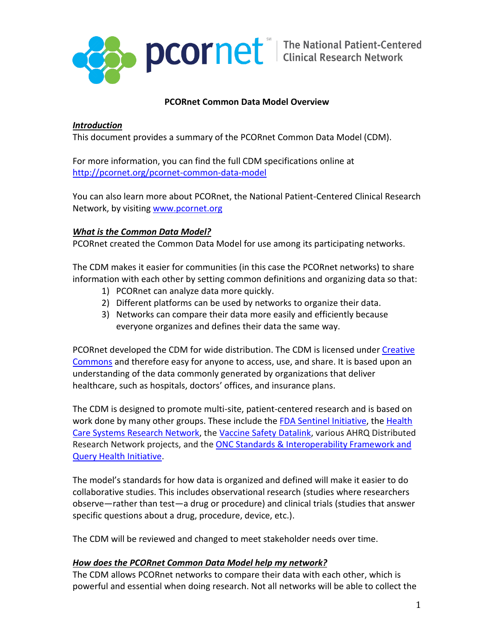

# **PCORnet Common Data Model Overview**

# *Introduction*

This document provides a summary of the PCORnet Common Data Model (CDM).

For more information, you can find the full CDM specifications online at <http://pcornet.org/pcornet-common-data-model>

You can also learn more about PCORnet, the National Patient-Centered Clinical Research Network, by visiting [www.pcornet.org](http://www.pcornet.org/)

# *What is the Common Data Model?*

PCORnet created the Common Data Model for use among its participating networks.

The CDM makes it easier for communities (in this case the PCORnet networks) to share information with each other by setting common definitions and organizing data so that:

- 1) PCORnet can analyze data more quickly.
- 2) Different platforms can be used by networks to organize their data.
- 3) Networks can compare their data more easily and efficiently because everyone organizes and defines their data the same way.

PCORnet developed the CDM for wide distribution. The CDM is licensed unde[r Creative](https://creativecommons.org/)  [Commons](https://creativecommons.org/) and therefore easy for anyone to access, use, and share. It is based upon an understanding of the data commonly generated by organizations that deliver healthcare, such as hospitals, doctors' offices, and insurance plans.

The CDM is designed to promote multi-site, patient-centered research and is based on work done by many other groups. These include the [FDA Sentinel Initiative,](https://www.sentinelinitiative.org/) the [Health](http://www.hcsrn.org/)  [Care Systems Research Network,](http://www.hcsrn.org/) the [Vaccine Safety Datalink,](https://www.cdc.gov/vaccinesafety/ensuringsafety/monitoring/vsd/index.html) various AHRQ Distributed Research Network projects, and the [ONC Standards & Interoperability Framework and](https://oncprojectracking.healthit.gov/wiki/display/TechLabSC/ONC+Tech+Lab+Standards+Coordination+Home)  [Query Health Initiative.](https://oncprojectracking.healthit.gov/wiki/display/TechLabSC/ONC+Tech+Lab+Standards+Coordination+Home)

The model's standards for how data is organized and defined will make it easier to do collaborative studies. This includes observational research (studies where researchers observe—rather than test—a drug or procedure) and clinical trials (studies that answer specific questions about a drug, procedure, device, etc.).

The CDM will be reviewed and changed to meet stakeholder needs over time.

# *How does the PCORnet Common Data Model help my network?*

The CDM allows PCORnet networks to compare their data with each other, which is powerful and essential when doing research. Not all networks will be able to collect the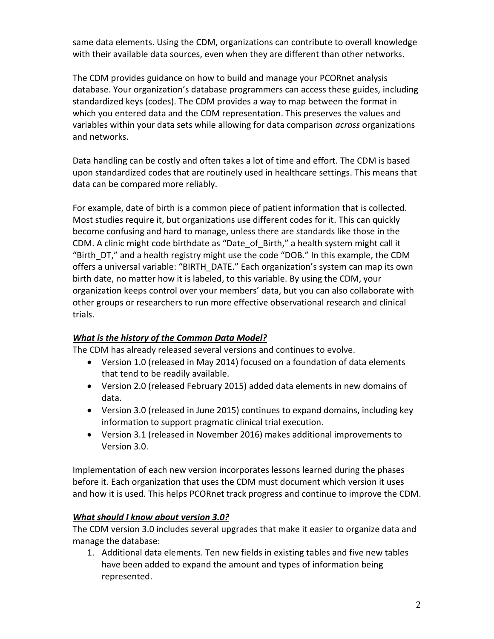same data elements. Using the CDM, organizations can contribute to overall knowledge with their available data sources, even when they are different than other networks.

The CDM provides guidance on how to build and manage your PCORnet analysis database. Your organization's database programmers can access these guides, including standardized keys (codes). The CDM provides a way to map between the format in which you entered data and the CDM representation. This preserves the values and variables within your data sets while allowing for data comparison *across* organizations and networks.

Data handling can be costly and often takes a lot of time and effort. The CDM is based upon standardized codes that are routinely used in healthcare settings. This means that data can be compared more reliably.

For example, date of birth is a common piece of patient information that is collected. Most studies require it, but organizations use different codes for it. This can quickly become confusing and hard to manage, unless there are standards like those in the CDM. A clinic might code birthdate as "Date\_of\_Birth," a health system might call it "Birth\_DT," and a health registry might use the code "DOB." In this example, the CDM offers a universal variable: "BIRTH\_DATE." Each organization's system can map its own birth date, no matter how it is labeled, to this variable. By using the CDM, your organization keeps control over your members' data, but you can also collaborate with other groups or researchers to run more effective observational research and clinical trials.

# *What is the history of the Common Data Model?*

The CDM has already released several versions and continues to evolve.

- Version 1.0 (released in May 2014) focused on a foundation of data elements that tend to be readily available.
- Version 2.0 (released February 2015) added data elements in new domains of data.
- Version 3.0 (released in June 2015) continues to expand domains, including key information to support pragmatic clinical trial execution.
- Version 3.1 (released in November 2016) makes additional improvements to Version 3.0.

Implementation of each new version incorporates lessons learned during the phases before it. Each organization that uses the CDM must document which version it uses and how it is used. This helps PCORnet track progress and continue to improve the CDM.

# *What should I know about version 3.0?*

The CDM version 3.0 includes several upgrades that make it easier to organize data and manage the database:

1. Additional data elements. Ten new fields in existing tables and five new tables have been added to expand the amount and types of information being represented.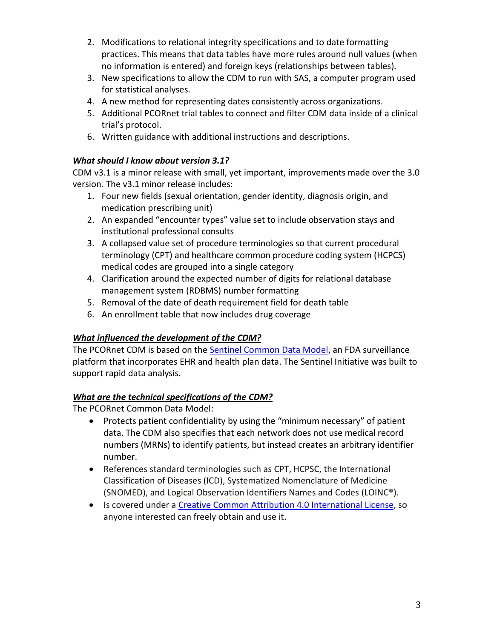- 2. Modifications to relational integrity specifications and to date formatting practices. This means that data tables have more rules around null values (when no information is entered) and foreign keys (relationships between tables).
- 3. New specifications to allow the CDM to run with SAS, a computer program used for statistical analyses.
- 4. A new method for representing dates consistently across organizations.
- 5. Additional PCORnet trial tables to connect and filter CDM data inside of a clinical trial's protocol.
- 6. Written guidance with additional instructions and descriptions.

# *What should I know about version 3.1?*

CDM v3.1 is a minor release with small, yet important, improvements made over the 3.0 version. The v3.1 minor release includes:

- 1. Four new fields (sexual orientation, gender identity, diagnosis origin, and medication prescribing unit)
- 2. An expanded "encounter types" value set to include observation stays and institutional professional consults
- 3. A collapsed value set of procedure terminologies so that current procedural terminology (CPT) and healthcare common procedure coding system (HCPCS) medical codes are grouped into a single category
- 4. Clarification around the expected number of digits for relational database management system (RDBMS) number formatting
- 5. Removal of the date of death requirement field for death table
- 6. An enrollment table that now includes drug coverage

# *What influenced the development of the CDM?*

The PCORnet CDM is based on the [Sentinel Common Data Model,](https://www.sentinelinitiative.org/sentinel/data/distributed-database-common-data-model) an FDA surveillance platform that incorporates EHR and health plan data. The Sentinel Initiative was built to support rapid data analysis.

# *What are the technical specifications of the CDM?*

The PCORnet Common Data Model:

- Protects patient confidentiality by using the "minimum necessary" of patient data. The CDM also specifies that each network does not use medical record numbers (MRNs) to identify patients, but instead creates an arbitrary identifier number.
- References standard terminologies such as CPT, HCPSC, the International Classification of Diseases (ICD), Systematized Nomenclature of Medicine (SNOMED), and Logical Observation Identifiers Names and Codes (LOINC®).
- Is covered under a [Creative Common Attribution 4.0 International License,](https://creativecommons.org/licenses/by/4.0/) so anyone interested can freely obtain and use it.